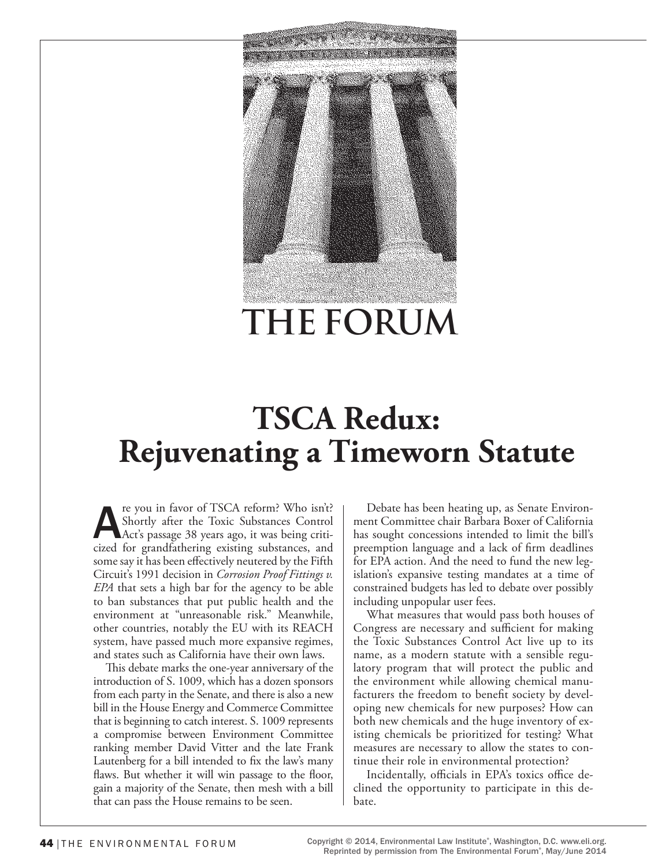

# **TSCA Redux: Rejuvenating a Timeworn Statute**

re you in favor of TSCA reform? Who isn't?<br>
Shortly after the Toxic Substances Control<br>
Act's passage 38 years ago, it was being criti-<br>
cized for grandfathering existing substances, and Shortly after the Toxic Substances Control cized for grandfathering existing substances, and some say it has been effectively neutered by the Fifth Circuit's 1991 decision in *Corrosion Proof Fittings v. EPA* that sets a high bar for the agency to be able to ban substances that put public health and the environment at "unreasonable risk." Meanwhile, other countries, notably the EU with its REACH system, have passed much more expansive regimes, and states such as California have their own laws.

This debate marks the one-year anniversary of the introduction of S. 1009, which has a dozen sponsors from each party in the Senate, and there is also a new bill in the House Energy and Commerce Committee that is beginning to catch interest. S. 1009 represents a compromise between Environment Committee ranking member David Vitter and the late Frank Lautenberg for a bill intended to fix the law's many flaws. But whether it will win passage to the floor, gain a majority of the Senate, then mesh with a bill that can pass the House remains to be seen.

Debate has been heating up, as Senate Environment Committee chair Barbara Boxer of California has sought concessions intended to limit the bill's preemption language and a lack of firm deadlines for EPA action. And the need to fund the new legislation's expansive testing mandates at a time of constrained budgets has led to debate over possibly including unpopular user fees.

What measures that would pass both houses of Congress are necessary and sufficient for making the Toxic Substances Control Act live up to its name, as a modern statute with a sensible regulatory program that will protect the public and the environment while allowing chemical manufacturers the freedom to benefit society by developing new chemicals for new purposes? How can both new chemicals and the huge inventory of existing chemicals be prioritized for testing? What measures are necessary to allow the states to continue their role in environmental protection?

Incidentally, officials in EPA's toxics office declined the opportunity to participate in this debate.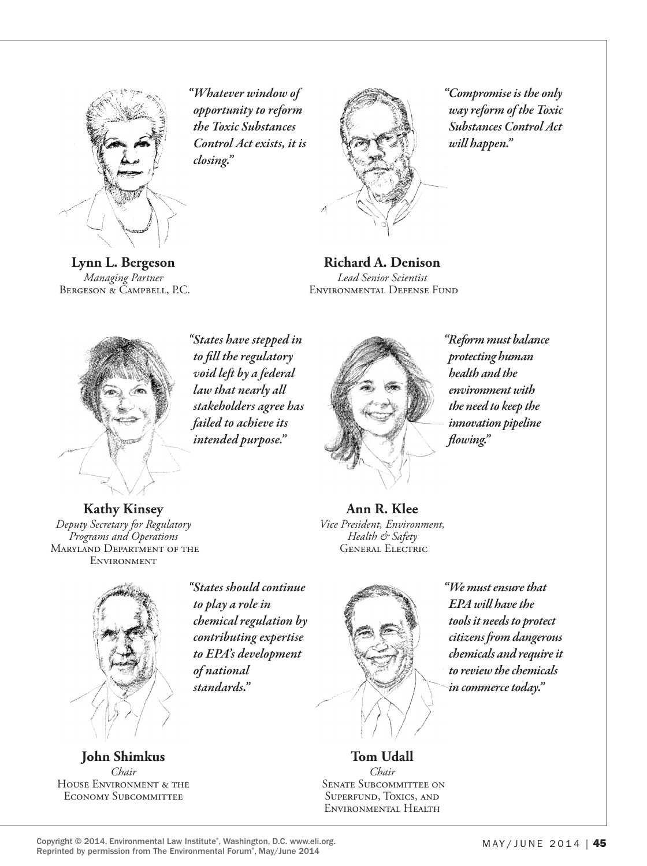

**Lynn L. Bergeson** *Managing Partner* Bergeson & Campbell, P.C.

*"Whatever window of opportunity to reform the Toxic Substances Control Act exists, it is closing."*



*"Compromise is the only way reform of the Toxic Substances Control Act will happen."*

**Richard A. Denison** *Lead Senior Scientist*  Environmental Defense Fund

*"States have stepped in to fill the regulatory void left by a federal law that nearly all stakeholders agree has failed to achieve its intended purpose."* 



*"Reform must balance protecting human health and the environment with the need to keep the innovation pipeline flowing."*

**Kathy Kinsey** *Deputy Secretary for Regulatory Programs and Operations* Maryland Department of the **ENVIRONMENT** 



*"States should continue to play a role in chemical regulation by contributing expertise to EPA's development standards."*

**Ann R. Klee** *Vice President, Environment, Health & Safety* General Electric



*"We must ensure that EPA will have the tools it needs to protect citizens from dangerous chemicals and require it to review the chemicals in commerce today."*

**Tom Udall** *Chair* Senate Subcommittee on Superfund, Toxics, and Environmental Health

*of national* 

House Environment & the Economy Subcommittee

**John Shimkus** *Chair*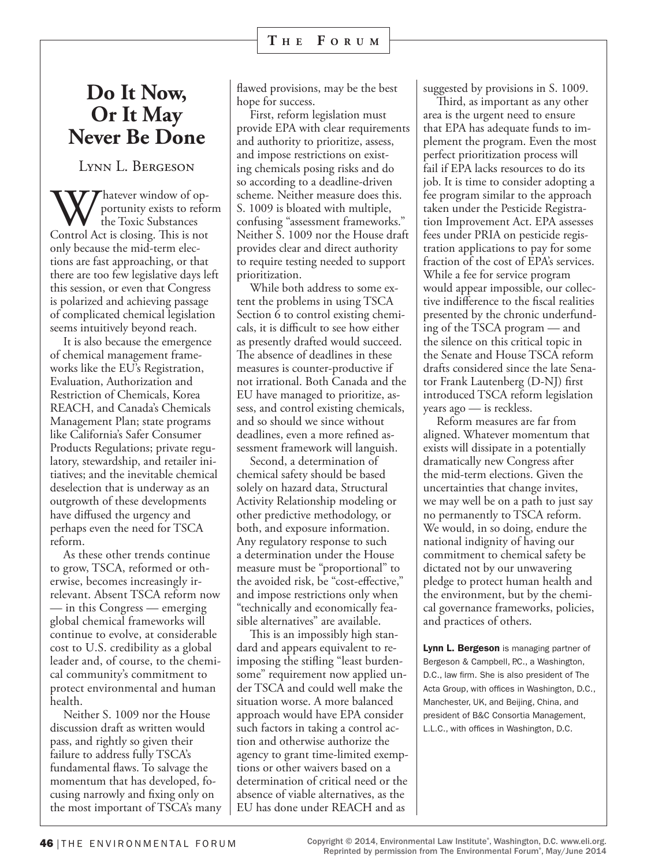### **Do It Now, Or It May Never Be Done**

Lynn L. Bergeson

Whatever window of op-Control Act is closing. This is not portunity exists to reform the Toxic Substances only because the mid-term elections are fast approaching, or that there are too few legislative days left this session, or even that Congress is polarized and achieving passage of complicated chemical legislation seems intuitively beyond reach.

It is also because the emergence of chemical management frameworks like the EU's Registration, Evaluation, Authorization and Restriction of Chemicals, Korea REACH, and Canada's Chemicals Management Plan; state programs like California's Safer Consumer Products Regulations; private regulatory, stewardship, and retailer initiatives; and the inevitable chemical deselection that is underway as an outgrowth of these developments have diffused the urgency and perhaps even the need for TSCA reform.

As these other trends continue to grow, TSCA, reformed or otherwise, becomes increasingly irrelevant. Absent TSCA reform now — in this Congress — emerging global chemical frameworks will continue to evolve, at considerable cost to U.S. credibility as a global leader and, of course, to the chemical community's commitment to protect environmental and human health.

Neither S. 1009 nor the House discussion draft as written would pass, and rightly so given their failure to address fully TSCA's fundamental flaws. To salvage the momentum that has developed, focusing narrowly and fixing only on the most important of TSCA's many

flawed provisions, may be the best hope for success.

First, reform legislation must provide EPA with clear requirements and authority to prioritize, assess, and impose restrictions on existing chemicals posing risks and do so according to a deadline-driven scheme. Neither measure does this. S. 1009 is bloated with multiple, confusing "assessment frameworks." Neither S. 1009 nor the House draft provides clear and direct authority to require testing needed to support prioritization.

While both address to some extent the problems in using TSCA Section 6 to control existing chemicals, it is difficult to see how either as presently drafted would succeed. The absence of deadlines in these measures is counter-productive if not irrational. Both Canada and the EU have managed to prioritize, assess, and control existing chemicals, and so should we since without deadlines, even a more refined assessment framework will languish.

Second, a determination of chemical safety should be based solely on hazard data, Structural Activity Relationship modeling or other predictive methodology, or both, and exposure information. Any regulatory response to such a determination under the House measure must be "proportional" to the avoided risk, be "cost-effective," and impose restrictions only when "technically and economically feasible alternatives" are available.

This is an impossibly high standard and appears equivalent to reimposing the stifling "least burdensome" requirement now applied under TSCA and could well make the situation worse. A more balanced approach would have EPA consider such factors in taking a control action and otherwise authorize the agency to grant time-limited exemptions or other waivers based on a determination of critical need or the absence of viable alternatives, as the EU has done under REACH and as

suggested by provisions in S. 1009.

Third, as important as any other area is the urgent need to ensure that EPA has adequate funds to implement the program. Even the most perfect prioritization process will fail if EPA lacks resources to do its job. It is time to consider adopting a fee program similar to the approach taken under the Pesticide Registration Improvement Act. EPA assesses fees under PRIA on pesticide registration applications to pay for some fraction of the cost of EPA's services. While a fee for service program would appear impossible, our collective indifference to the fiscal realities presented by the chronic underfunding of the TSCA program — and the silence on this critical topic in the Senate and House TSCA reform drafts considered since the late Senator Frank Lautenberg (D-NJ) first introduced TSCA reform legislation years ago — is reckless.

Reform measures are far from aligned. Whatever momentum that exists will dissipate in a potentially dramatically new Congress after the mid-term elections. Given the uncertainties that change invites, we may well be on a path to just say no permanently to TSCA reform. We would, in so doing, endure the national indignity of having our commitment to chemical safety be dictated not by our unwavering pledge to protect human health and the environment, but by the chemical governance frameworks, policies, and practices of others.

Lynn L. Bergeson is managing partner of Bergeson & Campbell, P.C., a Washington, D.C., law firm. She is also president of The Acta Group, with offices in Washington, D.C., Manchester, UK, and Beijing, China, and president of B&C Consortia Management, L.L.C., with offices in Washington, D.C.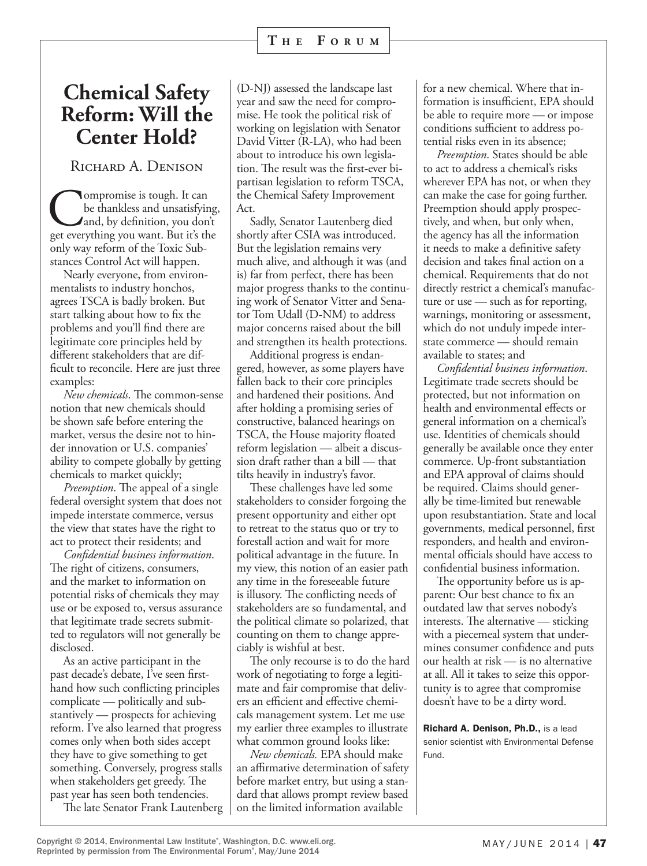# **Chemical Safety Reform: Will the Center Hold?**

RICHARD A. DENISON

Compromise is tough. It can<br>be thankless and unsatisfying.<br>get everything you want. But it's the be thankless and unsatisfying, and, by definition, you don't only way reform of the Toxic Substances Control Act will happen.

Nearly everyone, from environmentalists to industry honchos, agrees TSCA is badly broken. But start talking about how to fix the problems and you'll find there are legitimate core principles held by different stakeholders that are difficult to reconcile. Here are just three examples:

*New chemicals*. The common-sense notion that new chemicals should be shown safe before entering the market, versus the desire not to hinder innovation or U.S. companies' ability to compete globally by getting chemicals to market quickly;

*Preemption*. The appeal of a single federal oversight system that does not impede interstate commerce, versus the view that states have the right to act to protect their residents; and

*Confidential business information*. The right of citizens, consumers, and the market to information on potential risks of chemicals they may use or be exposed to, versus assurance that legitimate trade secrets submitted to regulators will not generally be disclosed.

As an active participant in the past decade's debate, I've seen firsthand how such conflicting principles complicate — politically and substantively — prospects for achieving reform. I've also learned that progress comes only when both sides accept they have to give something to get something. Conversely, progress stalls when stakeholders get greedy. The past year has seen both tendencies.

The late Senator Frank Lautenberg

(D-NJ) assessed the landscape last year and saw the need for compromise. He took the political risk of working on legislation with Senator David Vitter (R-LA), who had been about to introduce his own legislation. The result was the first-ever bipartisan legislation to reform TSCA, the Chemical Safety Improvement Act.

Sadly, Senator Lautenberg died shortly after CSIA was introduced. But the legislation remains very much alive, and although it was (and is) far from perfect, there has been major progress thanks to the continuing work of Senator Vitter and Senator Tom Udall (D-NM) to address major concerns raised about the bill and strengthen its health protections.

Additional progress is endangered, however, as some players have fallen back to their core principles and hardened their positions. And after holding a promising series of constructive, balanced hearings on TSCA, the House majority floated reform legislation — albeit a discussion draft rather than a bill — that tilts heavily in industry's favor.

These challenges have led some stakeholders to consider forgoing the present opportunity and either opt to retreat to the status quo or try to forestall action and wait for more political advantage in the future. In my view, this notion of an easier path any time in the foreseeable future is illusory. The conflicting needs of stakeholders are so fundamental, and the political climate so polarized, that counting on them to change appreciably is wishful at best.

The only recourse is to do the hard work of negotiating to forge a legitimate and fair compromise that delivers an efficient and effective chemicals management system. Let me use my earlier three examples to illustrate what common ground looks like:

*New chemicals.* EPA should make an affirmative determination of safety before market entry, but using a standard that allows prompt review based on the limited information available

for a new chemical. Where that information is insufficient, EPA should be able to require more — or impose conditions sufficient to address potential risks even in its absence;

*Preemption*. States should be able to act to address a chemical's risks wherever EPA has not, or when they can make the case for going further. Preemption should apply prospectively, and when, but only when, the agency has all the information it needs to make a definitive safety decision and takes final action on a chemical. Requirements that do not directly restrict a chemical's manufacture or use — such as for reporting, warnings, monitoring or assessment, which do not unduly impede interstate commerce — should remain available to states; and

*Confidential business information*. Legitimate trade secrets should be protected, but not information on health and environmental effects or general information on a chemical's use. Identities of chemicals should generally be available once they enter commerce. Up-front substantiation and EPA approval of claims should be required. Claims should generally be time-limited but renewable upon resubstantiation. State and local governments, medical personnel, first responders, and health and environmental officials should have access to confidential business information.

The opportunity before us is apparent: Our best chance to fix an outdated law that serves nobody's interests. The alternative — sticking with a piecemeal system that undermines consumer confidence and puts our health at risk — is no alternative at all. All it takes to seize this opportunity is to agree that compromise doesn't have to be a dirty word.

Richard A. Denison, Ph.D., is a lead senior scientist with Environmental Defense Fund.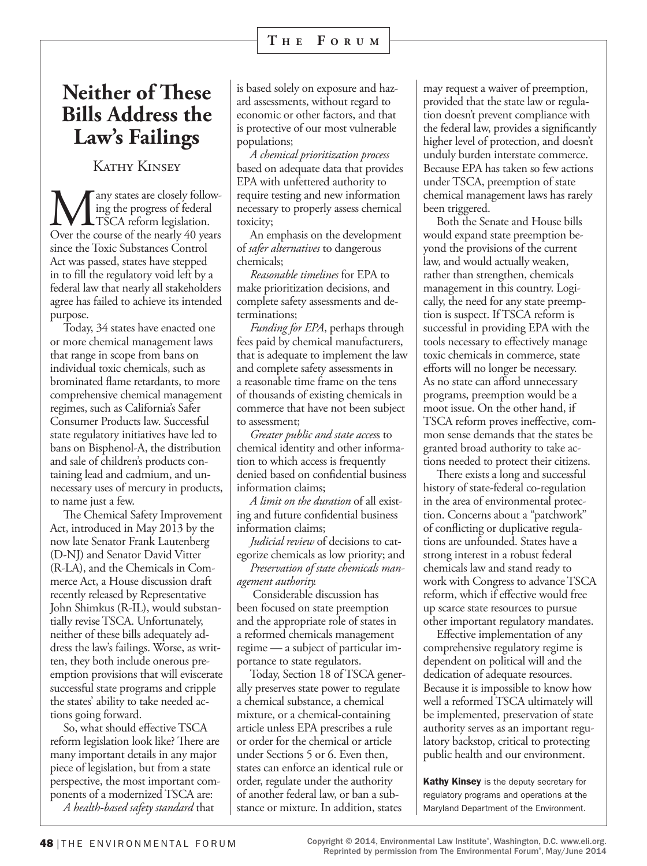# **Neither of These Bills Address the Law's Failings**

Kathy Kinsey

**M**any states are closely follow-<br>TSCA reform legislation.<br>Over the course of the nearly 40 years ing the progress of federal TSCA reform legislation. Over the course of the nearly 40 years since the Toxic Substances Control Act was passed, states have stepped in to fill the regulatory void left by a federal law that nearly all stakeholders agree has failed to achieve its intended purpose.

Today, 34 states have enacted one or more chemical management laws that range in scope from bans on individual toxic chemicals, such as brominated flame retardants, to more comprehensive chemical management regimes, such as California's Safer Consumer Products law. Successful state regulatory initiatives have led to bans on Bisphenol-A, the distribution and sale of children's products containing lead and cadmium, and unnecessary uses of mercury in products, to name just a few.

The Chemical Safety Improvement Act, introduced in May 2013 by the now late Senator Frank Lautenberg (D-NJ) and Senator David Vitter (R-LA), and the Chemicals in Commerce Act, a House discussion draft recently released by Representative John Shimkus (R-IL), would substantially revise TSCA. Unfortunately, neither of these bills adequately address the law's failings. Worse, as written, they both include onerous preemption provisions that will eviscerate successful state programs and cripple the states' ability to take needed actions going forward.

So, what should effective TSCA reform legislation look like? There are many important details in any major piece of legislation, but from a state perspective, the most important components of a modernized TSCA are: *A health-based safety standard* that

is based solely on exposure and hazard assessments, without regard to economic or other factors, and that is protective of our most vulnerable populations;

*A chemical prioritization process*  based on adequate data that provides EPA with unfettered authority to require testing and new information necessary to properly assess chemical toxicity;

An emphasis on the development of *safer alternatives* to dangerous chemicals;

*Reasonable timelines* for EPA to make prioritization decisions, and complete safety assessments and determinations;

*Funding for EPA*, perhaps through fees paid by chemical manufacturers, that is adequate to implement the law and complete safety assessments in a reasonable time frame on the tens of thousands of existing chemicals in commerce that have not been subject to assessment;

*Greater public and state acces*s to chemical identity and other information to which access is frequently denied based on confidential business information claims;

*A limit on the duration* of all existing and future confidential business information claims;

*Judicial review* of decisions to categorize chemicals as low priority; and

*Preservation of state chemicals management authority.*

 Considerable discussion has been focused on state preemption and the appropriate role of states in a reformed chemicals management regime — a subject of particular importance to state regulators.

Today, Section 18 of TSCA generally preserves state power to regulate a chemical substance, a chemical mixture, or a chemical-containing article unless EPA prescribes a rule or order for the chemical or article under Sections 5 or 6. Even then, states can enforce an identical rule or order, regulate under the authority of another federal law, or ban a substance or mixture. In addition, states

may request a waiver of preemption, provided that the state law or regulation doesn't prevent compliance with the federal law, provides a significantly higher level of protection, and doesn't unduly burden interstate commerce. Because EPA has taken so few actions under TSCA, preemption of state chemical management laws has rarely been triggered.

Both the Senate and House bills would expand state preemption beyond the provisions of the current law, and would actually weaken, rather than strengthen, chemicals management in this country. Logically, the need for any state preemption is suspect. If TSCA reform is successful in providing EPA with the tools necessary to effectively manage toxic chemicals in commerce, state efforts will no longer be necessary. As no state can afford unnecessary programs, preemption would be a moot issue. On the other hand, if TSCA reform proves ineffective, common sense demands that the states be granted broad authority to take actions needed to protect their citizens.

There exists a long and successful history of state-federal co-regulation in the area of environmental protection. Concerns about a "patchwork" of conflicting or duplicative regulations are unfounded. States have a strong interest in a robust federal chemicals law and stand ready to work with Congress to advance TSCA reform, which if effective would free up scarce state resources to pursue other important regulatory mandates.

Effective implementation of any comprehensive regulatory regime is dependent on political will and the dedication of adequate resources. Because it is impossible to know how well a reformed TSCA ultimately will be implemented, preservation of state authority serves as an important regulatory backstop, critical to protecting public health and our environment.

Kathy Kinsey is the deputy secretary for regulatory programs and operations at the Maryland Department of the Environment.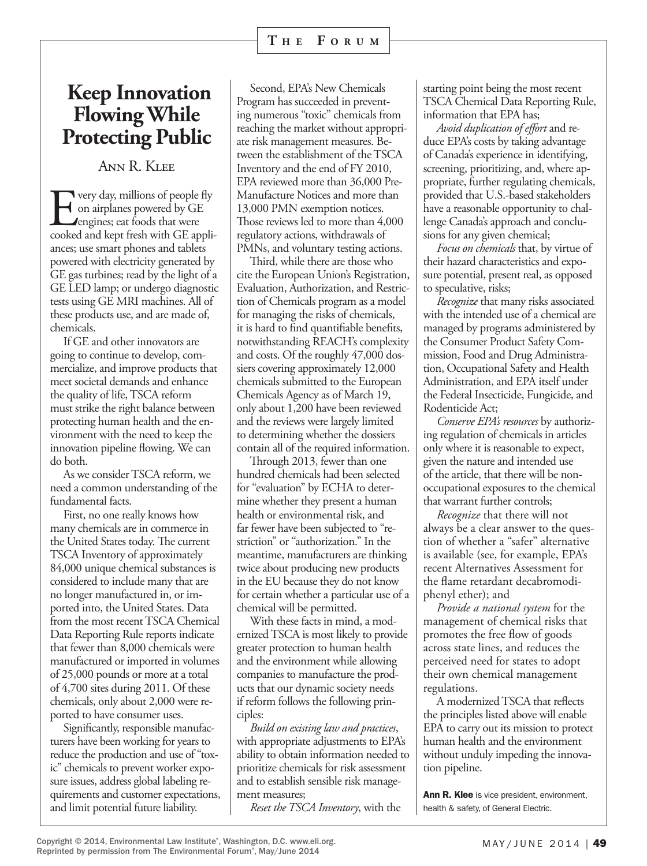# **Keep Innovation Flowing While Protecting Public**

Ann R. Klee

**EVALUATE:** Very day, millions of people fly<br>
on airplanes powered by GE<br>
engines; eat foods that were<br>
cooked and kept fresh with GE applion airplanes powered by GE **L**engines; eat foods that were cooked and kept fresh with GE appliances; use smart phones and tablets powered with electricity generated by GE gas turbines; read by the light of a GE LED lamp; or undergo diagnostic tests using GE MRI machines. All of these products use, and are made of, chemicals.

If GE and other innovators are going to continue to develop, commercialize, and improve products that meet societal demands and enhance the quality of life, TSCA reform must strike the right balance between protecting human health and the environment with the need to keep the innovation pipeline flowing. We can do both.

As we consider TSCA reform, we need a common understanding of the fundamental facts.

First, no one really knows how many chemicals are in commerce in the United States today. The current TSCA Inventory of approximately 84,000 unique chemical substances is considered to include many that are no longer manufactured in, or imported into, the United States. Data from the most recent TSCA Chemical Data Reporting Rule reports indicate that fewer than 8,000 chemicals were manufactured or imported in volumes of 25,000 pounds or more at a total of 4,700 sites during 2011. Of these chemicals, only about 2,000 were reported to have consumer uses.

Significantly, responsible manufacturers have been working for years to reduce the production and use of "toxic" chemicals to prevent worker exposure issues, address global labeling requirements and customer expectations, and limit potential future liability.

Second, EPA's New Chemicals Program has succeeded in preventing numerous "toxic" chemicals from reaching the market without appropriate risk management measures. Between the establishment of the TSCA Inventory and the end of FY 2010, EPA reviewed more than 36,000 Pre-Manufacture Notices and more than 13,000 PMN exemption notices. Those reviews led to more than 4,000 regulatory actions, withdrawals of PMNs, and voluntary testing actions.

Third, while there are those who cite the European Union's Registration, Evaluation, Authorization, and Restriction of Chemicals program as a model for managing the risks of chemicals, it is hard to find quantifiable benefits, notwithstanding REACH's complexity and costs. Of the roughly 47,000 dossiers covering approximately 12,000 chemicals submitted to the European Chemicals Agency as of March 19, only about 1,200 have been reviewed and the reviews were largely limited to determining whether the dossiers contain all of the required information.

Through 2013, fewer than one hundred chemicals had been selected for "evaluation" by ECHA to determine whether they present a human health or environmental risk, and far fewer have been subjected to "restriction" or "authorization." In the meantime, manufacturers are thinking twice about producing new products in the EU because they do not know for certain whether a particular use of a chemical will be permitted.

With these facts in mind, a modernized TSCA is most likely to provide greater protection to human health and the environment while allowing companies to manufacture the products that our dynamic society needs if reform follows the following principles:

*Build on existing law and practices*, with appropriate adjustments to EPA's ability to obtain information needed to prioritize chemicals for risk assessment and to establish sensible risk management measures;

*Reset the TSCA Inventory*, with the

starting point being the most recent TSCA Chemical Data Reporting Rule, information that EPA has;

*Avoid duplication of effort* and reduce EPA's costs by taking advantage of Canada's experience in identifying, screening, prioritizing, and, where appropriate, further regulating chemicals, provided that U.S.-based stakeholders have a reasonable opportunity to challenge Canada's approach and conclusions for any given chemical;

*Focus on chemicals* that, by virtue of their hazard characteristics and exposure potential, present real, as opposed to speculative, risks;

*Recognize* that many risks associated with the intended use of a chemical are managed by programs administered by the Consumer Product Safety Commission, Food and Drug Administration, Occupational Safety and Health Administration, and EPA itself under the Federal Insecticide, Fungicide, and Rodenticide Act;

*Conserve EPA's resources* by authorizing regulation of chemicals in articles only where it is reasonable to expect, given the nature and intended use of the article, that there will be nonoccupational exposures to the chemical that warrant further controls;

*Recognize* that there will not always be a clear answer to the question of whether a "safer" alternative is available (see, for example, EPA's recent Alternatives Assessment for the flame retardant decabromodiphenyl ether); and

*Provide a national system* for the management of chemical risks that promotes the free flow of goods across state lines, and reduces the perceived need for states to adopt their own chemical management regulations.

A modernized TSCA that reflects the principles listed above will enable EPA to carry out its mission to protect human health and the environment without unduly impeding the innovation pipeline.

Ann R. Klee is vice president, environment, health & safety, of General Electric.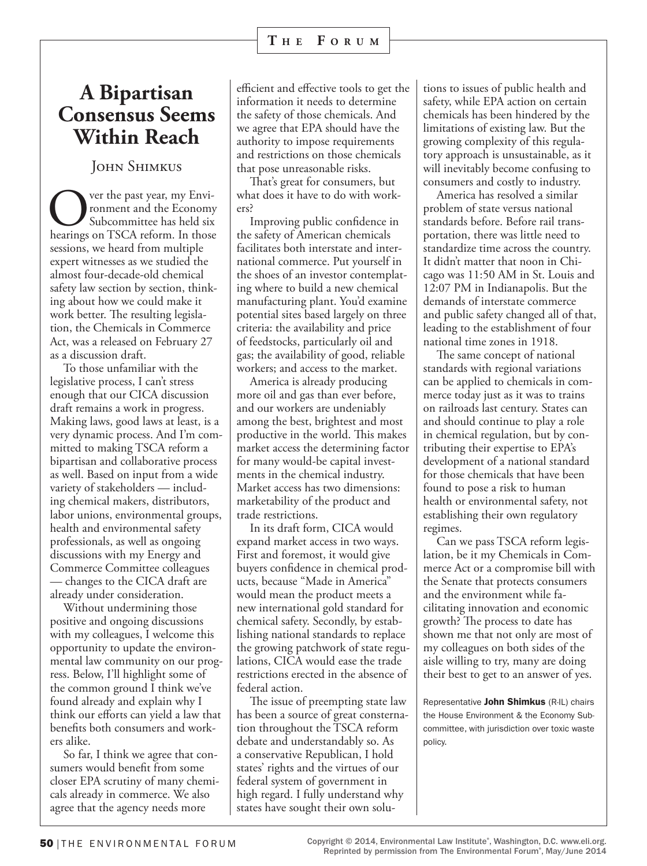### **A Bipartisan Consensus Seems Within Reach**

### John Shimkus

**COVERT** ver the past year, my Environment and the Economy<br>Subcommittee has held six<br>hearings on TSCA reform. In those ronment and the Economy Subcommittee has held six sessions, we heard from multiple expert witnesses as we studied the almost four-decade-old chemical safety law section by section, thinking about how we could make it work better. The resulting legislation, the Chemicals in Commerce Act, was a released on February 27 as a discussion draft.

To those unfamiliar with the legislative process, I can't stress enough that our CICA discussion draft remains a work in progress. Making laws, good laws at least, is a very dynamic process. And I'm committed to making TSCA reform a bipartisan and collaborative process as well. Based on input from a wide variety of stakeholders — including chemical makers, distributors, labor unions, environmental groups, health and environmental safety professionals, as well as ongoing discussions with my Energy and Commerce Committee colleagues — changes to the CICA draft are already under consideration.

Without undermining those positive and ongoing discussions with my colleagues, I welcome this opportunity to update the environmental law community on our progress. Below, I'll highlight some of the common ground I think we've found already and explain why I think our efforts can yield a law that benefits both consumers and workers alike.

So far, I think we agree that consumers would benefit from some closer EPA scrutiny of many chemicals already in commerce. We also agree that the agency needs more

efficient and effective tools to get the information it needs to determine the safety of those chemicals. And we agree that EPA should have the authority to impose requirements and restrictions on those chemicals that pose unreasonable risks.

That's great for consumers, but what does it have to do with workers?

Improving public confidence in the safety of American chemicals facilitates both interstate and international commerce. Put yourself in the shoes of an investor contemplating where to build a new chemical manufacturing plant. You'd examine potential sites based largely on three criteria: the availability and price of feedstocks, particularly oil and gas; the availability of good, reliable workers; and access to the market.

America is already producing more oil and gas than ever before, and our workers are undeniably among the best, brightest and most productive in the world. This makes market access the determining factor for many would-be capital investments in the chemical industry. Market access has two dimensions: marketability of the product and trade restrictions.

In its draft form, CICA would expand market access in two ways. First and foremost, it would give buyers confidence in chemical products, because "Made in America" would mean the product meets a new international gold standard for chemical safety. Secondly, by establishing national standards to replace the growing patchwork of state regulations, CICA would ease the trade restrictions erected in the absence of federal action.

The issue of preempting state law has been a source of great consternation throughout the TSCA reform debate and understandably so. As a conservative Republican, I hold states' rights and the virtues of our federal system of government in high regard. I fully understand why states have sought their own solu-

tions to issues of public health and safety, while EPA action on certain chemicals has been hindered by the limitations of existing law. But the growing complexity of this regulatory approach is unsustainable, as it will inevitably become confusing to consumers and costly to industry.

America has resolved a similar problem of state versus national standards before. Before rail transportation, there was little need to standardize time across the country. It didn't matter that noon in Chicago was 11:50 AM in St. Louis and 12:07 PM in Indianapolis. But the demands of interstate commerce and public safety changed all of that, leading to the establishment of four national time zones in 1918.

The same concept of national standards with regional variations can be applied to chemicals in commerce today just as it was to trains on railroads last century. States can and should continue to play a role in chemical regulation, but by contributing their expertise to EPA's development of a national standard for those chemicals that have been found to pose a risk to human health or environmental safety, not establishing their own regulatory regimes.

Can we pass TSCA reform legislation, be it my Chemicals in Commerce Act or a compromise bill with the Senate that protects consumers and the environment while facilitating innovation and economic growth? The process to date has shown me that not only are most of my colleagues on both sides of the aisle willing to try, many are doing their best to get to an answer of yes.

Representative John Shimkus (R-IL) chairs the House Environment & the Economy Subcommittee, with jurisdiction over toxic waste policy.